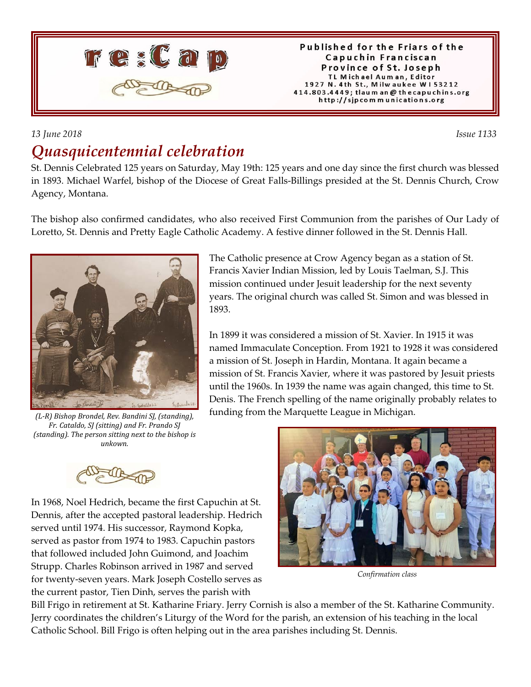

#### Published for the Friars of the Capuchin Franciscan Province of St. Joseph TL Michael Auman, Editor 1927 N. 4th St., Milwaukee W153212 414.803.4449; tlaum an @ thecapuchins.org http://sjpcommunications.org

### *13 June 2018 Issue 1133 Quasquicentennial celebration*

St. Dennis Celebrated 125 years on Saturday, May 19th: 125 years and one day since the first church was blessed in 1893. Michael Warfel, bishop of the Diocese of Great Falls-Billings presided at the St. Dennis Church, Crow Agency, Montana.

The bishop also confirmed candidates, who also received First Communion from the parishes of Our Lady of Loretto, St. Dennis and Pretty Eagle Catholic Academy. A festive dinner followed in the St. Dennis Hall.



*(L-R) Bishop Brondel, Rev. Bandini SJ, (standing), Fr. Cataldo, SJ (sitting) and Fr. Prando SJ (standing). The person sitting next to the bishop is unkown.*

The Catholic presence at Crow Agency began as a station of St. Francis Xavier Indian Mission, led by Louis Taelman, S.J. This mission continued under Jesuit leadership for the next seventy years. The original church was called St. Simon and was blessed in 1893.

In 1899 it was considered a mission of St. Xavier. In 1915 it was named Immaculate Conception. From 1921 to 1928 it was considered a mission of St. Joseph in Hardin, Montana. It again became a mission of St. Francis Xavier, where it was pastored by Jesuit priests until the 1960s. In 1939 the name was again changed, this time to St. Denis. The French spelling of the name originally probably relates to funding from the Marquette League in Michigan.



In 1968, Noel Hedrich, became the first Capuchin at St. Dennis, after the accepted pastoral leadership. Hedrich served until 1974. His successor, Raymond Kopka, served as pastor from 1974 to 1983. Capuchin pastors that followed included John Guimond, and Joachim Strupp. Charles Robinson arrived in 1987 and served for twenty-seven years. Mark Joseph Costello serves as the current pastor, Tien Dinh, serves the parish with



*Confirmation class*

Bill Frigo in retirement at St. Katharine Friary. Jerry Cornish is also a member of the St. Katharine Community. Jerry coordinates the children's Liturgy of the Word for the parish, an extension of his teaching in the local Catholic School. Bill Frigo is often helping out in the area parishes including St. Dennis.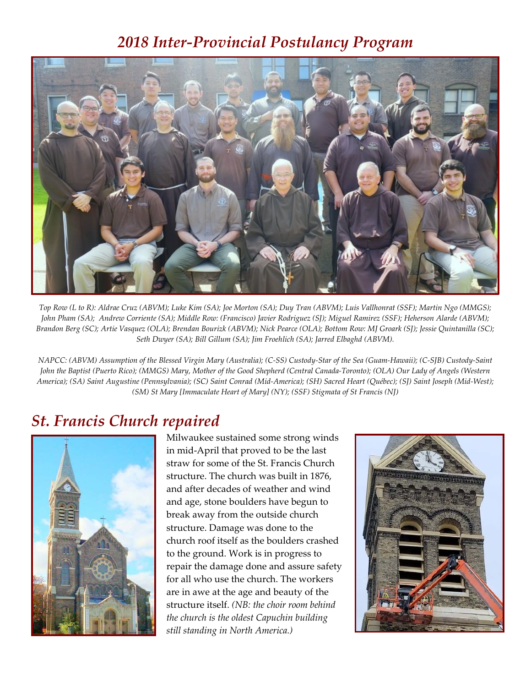## *2018 Inter-Provincial Postulancy Program*



*Top Row (L to R): Aldrae Cruz (ABVM); Luke Kim (SA); Joe Morton (SA); Duy Tran (ABVM); Luis Vallhonrat (SSF); Martin Ngo (MMGS); John Pham (SA); Andrew Corriente (SA); Middle Row: (Francisco) Javier Rodriguez (SJ); Miguel Ramirez (SSF); Heherson Alarde (ABVM); Brandon Berg (SC); Artie Vasquez (OLA); Brendan Bourizk (ABVM); Nick Pearce (OLA); Bottom Row: MJ Groark (SJ); Jessie Quintanilla (SC); Seth Dwyer (SA); Bill Gillum (SA); Jim Froehlich (SA); Jarred Elbaghd (ABVM).*

*NAPCC: (ABVM) Assumption of the Blessed Virgin Mary (Australia); (C-SS) Custody-Star of the Sea (Guam-Hawaii); (C-SJB) Custody-Saint John the Baptist (Puerto Rico); (MMGS) Mary, Mother of the Good Shepherd (Central Canada-Toronto); (OLA) Our Lady of Angels (Western America); (SA) Saint Augustine (Pennsylvania); (SC) Saint Conrad (Mid-America); (SH) Sacred Heart (Québec); (SJ) Saint Joseph (Mid-West); (SM) St Mary [Immaculate Heart of Mary] (NY); (SSF) Stigmata of St Francis (NJ)*

### *St. Francis Church repaired*



Milwaukee sustained some strong winds in mid-April that proved to be the last straw for some of the St. Francis Church structure. The church was built in 1876, and after decades of weather and wind and age, stone boulders have begun to break away from the outside church structure. Damage was done to the church roof itself as the boulders crashed to the ground. Work is in progress to repair the damage done and assure safety for all who use the church. The workers are in awe at the age and beauty of the structure itself. *(NB: the choir room behind the church is the oldest Capuchin building still standing in North America.)*

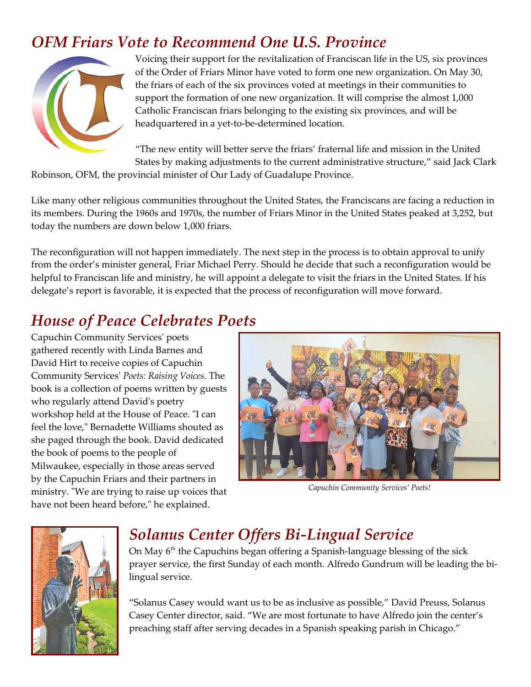## *OFM Friars Vote to Recommend One U.S. Province*



Voicing their support for the revitalization of Franciscan life in the US, six provinces of the Order of Friars Minor have voted to form one new organization. On May 30, the friars of each of the six provinces voted at meetings in their communities to support the formation of one new organization. It will comprise the almost 1,000 Catholic Franciscan friars belonging to the existing six provinces, and will be headquartered in a yet-to-be-determined location.

"The new entity will better serve the friars' fraternal life and mission in the United States by making adjustments to the current administrative structure," said Jack Clark

Robinson, OFM, the provincial minister of Our Lady of Guadalupe Province.

Like many other religious communities throughout the United States, the Franciscans are facing a reduction in its members. During the 1960s and 1970s, the number of Friars Minor in the United States peaked at 3,252, but today the numbers are down below 1,000 friars.

The reconfiguration will not happen immediately. The next step in the process is to obtain approval to unify from the order's minister general, Friar Michael Perry. Should he decide that such a reconfiguration would be helpful to Franciscan life and ministry, he will appoint a delegate to visit the friars in the United States. If his delegate's report is favorable, it is expected that the process of reconfiguration will move forward.

# *House of Peace Celebrates Poets*

Capuchin Community Services' poets gathered recently with Linda Barnes and David Hirt to receive copies of Capuchin Community Services' *Poets: Raising Voices.* The book is a collection of poems written by guests who regularly attend David's poetry workshop held at the House of Peace. "I can feel the love," Bernadette Williams shouted as she paged through the book. David dedicated the book of poems to the people of Milwaukee, especially in those areas served by the Capuchin Friars and their partners in ministry. "We are trying to raise up voices that have not been heard before," he explained.



*Capuchin Community Services' Poets!*



# *Solanus Center Offers Bi-Lingual Service*

On May  $6<sup>th</sup>$  the Capuchins began offering a Spanish-language blessing of the sick prayer service, the first Sunday of each month. Alfredo Gundrum will be leading the bilingual service.

"Solanus Casey would want us to be as inclusive as possible," David Preuss, Solanus Casey Center director, said. "We are most fortunate to have Alfredo join the center's preaching staff after serving decades in a Spanish speaking parish in Chicago."